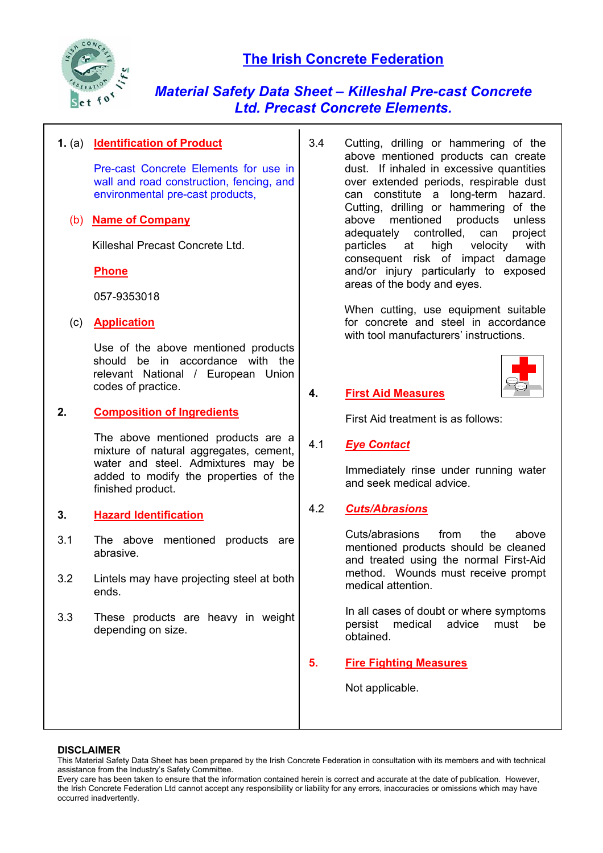

*Material Safety Data Sheet – Killeshal Pre-cast Concrete Ltd. Precast Concrete Elements.*

## **1.** (a) **Identification of Product**

Pre-cast Concrete Elements for use in wall and road construction, fencing, and environmental pre-cast products,

## (b) **Name of Company**

Killeshal Precast Concrete Ltd.

**Phone**

057-9353018

## (c) **Application**

Use of the above mentioned products should be in accordance with the relevant National / European Union codes of practice.

## **2. Composition of Ingredients**

 The above mentioned products are a mixture of natural aggregates, cement, water and steel. Admixtures may be added to modify the properties of the finished product.

## **3. Hazard Identification**

- 3.1 The above mentioned products are abrasive.
- 3.2 Lintels may have projecting steel at both ends.
- 3.3 These products are heavy in weight depending on size.

3.4 Cutting, drilling or hammering of the above mentioned products can create dust. If inhaled in excessive quantities over extended periods, respirable dust can constitute a long-term hazard. Cutting, drilling or hammering of the above mentioned products unless adequately controlled, can project particles at high velocity with consequent risk of impact damage and/or injury particularly to exposed areas of the body and eyes.

> When cutting, use equipment suitable for concrete and steel in accordance with tool manufacturers' instructions.



# **4. First Aid Measures**

First Aid treatment is as follows:

## 4.1 *Eye Contact*

 Immediately rinse under running water and seek medical advice.

# 4.2 *Cuts/Abrasions*

Cuts/abrasions from the above mentioned products should be cleaned and treated using the normal First-Aid method. Wounds must receive prompt medical attention.

In all cases of doubt or where symptoms persist medical advice must be obtained.

# **5. Fire Fighting Measures**

Not applicable.

#### **DISCLAIMER**

This Material Safety Data Sheet has been prepared by the Irish Concrete Federation in consultation with its members and with technical assistance from the Industry's Safety Committee.

Every care has been taken to ensure that the information contained herein is correct and accurate at the date of publication. However, the Irish Concrete Federation Ltd cannot accept any responsibility or liability for any errors, inaccuracies or omissions which may have occurred inadvertently.